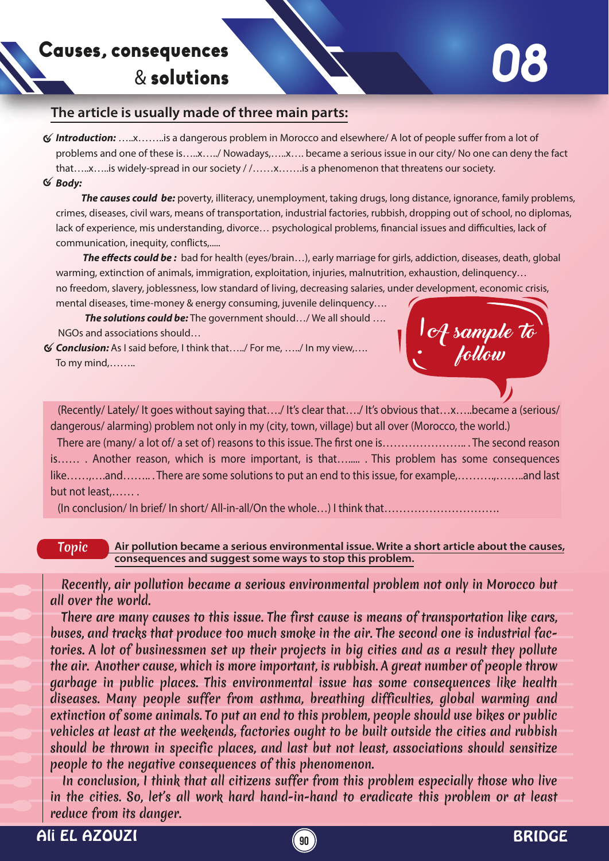## Causes, consequences & solutions

## **The article is usually made of three main parts:**

- *√* **Introduction:** ……x……..is a dangerous problem in Morocco and elsewhere/ A lot of people suffer from a lot of problems and one of these is…..x…../ Nowadays,…..x…. became a serious issue in our city/ No one can deny the fact that…..x…..is widely-spread in our society / /……x…….is a phenomenon that threatens our society.
- *Body:*

 *The causes could be:* poverty, illiteracy, unemployment, taking drugs, long distance, ignorance, family problems, crimes, diseases, civil wars, means of transportation, industrial factories, rubbish, dropping out of school, no diplomas, lack of experience, mis understanding, divorce... psychological problems, financial issues and difficulties, lack of communication, inequity, conflicts,.....

**The effects could be:** bad for health (eyes/brain...), early marriage for girls, addiction, diseases, death, global warming, extinction of animals, immigration, exploitation, injuries, malnutrition, exhaustion, delinquency... no freedom, slavery, joblessness, low standard of living, decreasing salaries, under development, economic crisis,

mental diseases, time-money & energy consuming, juvenile delinquency…. **The solutions could be:** The government should.../ We all should .... NGOs and associations should…

*Conclusion:* As I said before, I think that…../ For me, …../ In my view,…. To my mind,……..



 (Recently/ Lately/ It goes without saying that…./ It's clear that…./ It's obvious that…x…..became a (serious/ dangerous/ alarming) problem not only in my (city, town, village) but all over (Morocco, the world.)

 There are (many/ a lot of/ a set of) reasons to this issue. The rst one is………………….. . The second reason is…… . Another reason, which is more important, is that…..... . This problem has some consequences like……,….and………. There are some solutions to put an end to this issue, for example,……….,……..and last but not least,…… .

(In conclusion/ In brief/ In short/ All-in-all/On the whole...) I think that......

## Topic **Air pollution became a serious environmental issue. Write a short article about the causes, consequences and suggest some ways to stop this problem.**

 Recently, air pollution became a serious environmental problem not only in Morocco but all over the world.

 There are many causes to this issue. The first cause is means of transportation like cars, buses, and tracks that produce too much smoke in the air. The second one is industrial factories. A lot of businessmen set up their projects in big cities and as a result they pollute the air. Another cause, which is more important, is rubbish. A great number of people throw garbage in public places. This environmental issue has some consequences like health diseases. Many people suffer from asthma, breathing difficulties, global warming and extinction of some animals. To put an end to this problem, people should use bikes or public vehicles at least at the weekends, factories ought to be built outside the cities and rubbish should be thrown in specific places, and last but not least, associations should sensitize people to the negative consequences of this phenomenon.

 In conclusion, I think that all citizens suffer from this problem especially those who live in the cities. So, let's all work hard hand-in-hand to eradicate this problem or at least reduce from its danger.